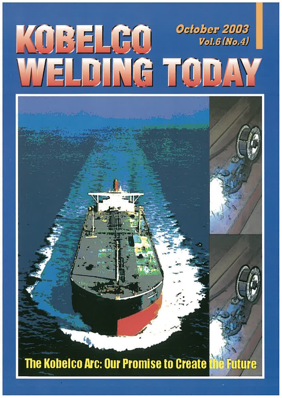

# The Kobelco Arc: Our Promise to Create the Future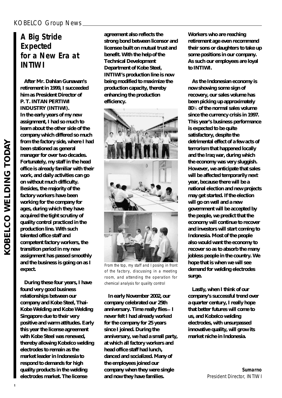# KOBELCO Group News

# **A Big Stride Expected for a New Era at INTIWI**

**After Mr. Dahlan Gunawan's retirement in 1999, I succeeded him as President Director of P. T. INTAN PERTIWI INDUSTRY (INTIWI). In the early years of my new assignment, I had so much to learn about the other side of the company which differed so much from the factory side, where I had been stationed as general manager for over two decades. Fortunately, my staff in the head office is already familiar with their work, and daily activities can go on without much difficulty. Besides, the majority of the factory workers have been working for the company for ages, during which they have acquired the tight scrutiny of quality control practiced in the production line. With such talented office staff and competent factory workers, the transition period in my new assignment has passed smoothly and the business is going on as I expect.**

**During these four years, I have found very good business relationships between our company and Kobe Steel, Thai-Kobe Welding and Kobe Welding Singapore due to their very positive and warm attitudes. Early this year the license agreement with Kobe Steel was renewed, thereby allowing Kobelco welding electrodes to remain as the market leader in Indonesia to respond to demands for high quality products in the welding electrodes market. The license**

**agreement also reflects the strong bond between licensor and licensee built on mutual trust and benefit. With the help of the Technical Development Department of Kobe Steel, INTIWI's production line is now being modified to maximize the production capacity, thereby enhancing the production efficiency.**



From the top, my staff and I posing in front of the factory, discussing in a meeting room, and attending the operation for chemical analysis for quality control

**In early November 2002, our company celebrated our 25th anniversary. Time really flies I never felt I had already worked for the company for 25 years since I joined. During the anniversary, we had a small party, at which all factory workers and head office staff had lunch, danced and socialized. Many of the employees joined our company when they were single and now they have families.**

**Workers who are reaching retirement age even recommend their sons or daughters to take up some positions in our company. As such our employees are loyal to INTIWI.**

**As the Indonesian economy is now showing some sign of recovery, our sales volume has been picking up approximately 80**% **of the normal sales volume since the currency crisis in 1997. This year's business performance is expected to be quite satisfactory, despite the detrimental effect of a few acts of terrorism that happened locally and the Iraq war, during which the economy was very sluggish. However, we anticipate that sales will be affected temporarily next year, because there will be a national election and new projects may get started. If the election will go on well and a new government will be accepted by the people, we predict that the economy will continue to recover and investors will start coming to Indonesia. Most of the people also would want the economy to recover so as to absorb the many jobless people in the country. We hope that is when we will see demand for welding electrodes surge.**

**Lastly, when I think of our company's successful trend over a quarter century, I really hope that better futures will come to us, and Kobelco welding electrodes, with unsurpassed innovative quality, will grow its market niche in Indonesia.**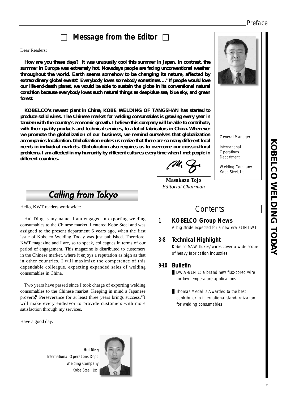# Preface

# **Message from the Editor**

### Dear Readers:

**How are you these days? It was unusually cool this summer in Japan. In contrast, the summer in Europe was extremely hot. Nowadays people are facing unconventional weather throughout the world. Earth seems somehow to be changing its nature, affected by extraordinary global events."Everybody loves somebody sometimes…."If people would love our life-and-death planet, we would be able to sustain the globe in its conventional natural condition because everybody loves such natural things as deep-blue sea, blue sky, and green forest.**

**KOBELCO's newest plant in China, KOBE WELDING OF TANGSHAN has started to produce solid wires. The Chinese market for welding consumables is growing every year in tandem with the country's economic growth. I believe this company will be able to contribute, with their quality products and technical services, to a lot of fabricators in China. Whenever we promote the globalization of our business, we remind ourselves that globalization accompanies localization. Globalization makes us realize that there are so many different local needs in individual markets. Globalization also requires us to overcome our cross-cultural problems. I am affected in my humanity by different cultures every time when I met people in different countries.**

**Calling from Tokyo** 

Hello, KWT readers worldwide:

Hui Ding is my name. I am engaged in exporting welding consumables to the Chinese market. I entered Kobe Steel and was assigned to the present department 6 years ago, when the first issue of Kobelco Welding Today was just published. Therefore, KWT magazine and I are, so to speak, colleagues in terms of our period of engagement. This magazine is distributed to customers in the Chinese market, where it enjoys a reputation as high as that in other countries. I will maximize the competence of this dependable colleague, expecting expanded sales of welding consumables in China.

Two years have passed since I took charge of exporting welding consumables to the Chinese market. Keeping in mind a Japanese proverb,**"**Perseverance for at least three years brings success,**"**I will make every endeavor to provide customers with more satisfaction through my services.

Have a good day.

**Hui Ding**  International Operations Dept. Welding Company Kobe Steel, Ltd.



**Masakazu Tojo** *Editorial Chairman*

# **Contents**

# **1 KOBELCO Group News**

A big stride expected for a new era at INTIWI

# **3-8 Technical Highlight**

Kobelco SAW fluxes/wires cover a wide scope of heavy fabrication industries

# **9-10 Bulletin**

DWA-81Ni1: a brand new flux-cored wire for low temperature applications

Thomas Medal is Awarded to the best contributor to international standardization for welding consumables



General Manager

International **Operations** Department

Welding Company Kobe Steel, Ltd.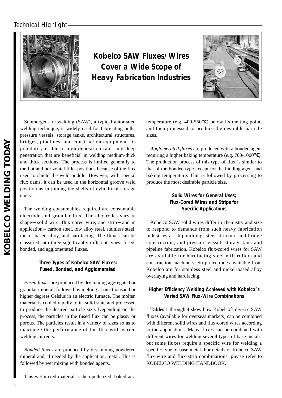

**Kobelco SAW Fluxes/Wires Cover a Wide Scope of Heavy Fabrication Industries** 



Submerged arc welding (SAW), a typical automated welding technique, is widely used for fabricating hulls, pressure vessels, storage tanks, architectural structures, bridges, pipelines, and construction equipment. Its popularity is due to high deposition rates and deep penetration that are beneficial in welding medium-thick and thick sections. The process is limited generally to the flat and horizontal fillet positions because of the flux used to shield the weld puddle. However, with special flux dams, it can be used in the horizontal groove weld position as in joining the shells of cylindrical storage tanks.

The welding consumables required are consumable electrode and granular flux. The electrodes vary in shape solid wire, flux cored wire, and strip and in application carbon steel, low alloy steel, stainless steel, nickel-based alloy, and hardfacing. The fluxes can be classified into three significantly different types: fused, bonded, and agglomerated fluxes.

# **Three Types of Kobelco SAW Fluxes: Fused, Bonded, and Agglomerated**

*Fused fluxes* are produced by dry mixing aggregated or granular mineral, followed by melting at one thousand or higher degrees Celsius in an electric furnace. The molten material is cooled rapidly to its solid state and processed to produce the desired particle size. Depending on the process, the particles in the fused flux can be glassy or porous. The particles result in a variety of sizes so as to maximize the performance of the flux with varied welding currents.

*Bonded fluxes* are produced by dry mixing powdered mineral and, if needed by the application, metal. This is followed by wet mixing with bonded agents.

This wet-mixed material is then pelletized, baked at a

temperature (e.g. 400-550 ) below its melting point, and then processed to produce the desirable particle sizes.

*Agglomerated fluxes* are produced with a bonded agent requiring a higher baking temperature (e.g. 700-1000 ). The production process of this type of flux is similar to that of the bonded type except for the binding agent and baking temperature. This is followed by processing to produce the most desirable particle size.

# **Solid Wires for General Uses; Flux-Cored Wires and Strips for Specific Applications**

Kobelco SAW solid wires differ in chemistry and size to respond to demands from such heavy fabrication industries as shipbuilding, steel structure and bridge construction, and pressure vessel, storage tank and pipeline fabrication. Kobelco flux-cored wires for SAW are available for hardfacing steel mill rollers and construction machinery. Strip electrodes available from Kobelco are for stainless steel and nickel-based alloy overlaying and hardfacing.

# **Higher Efficiency Welding Achieved with Kobelco's Varied SAW Flux-Wire Combinations**

**Tables 1** through **4** show how Kobelco**'**s diverse SAW fluxes (available for overseas markets) can be combined with different solid wires and flux-cored wires according to the applications. Many fluxes can be combined with different wires for welding several types of base metals, but some fluxes require a specific wire for welding a specific type of base metal. For details of Kobelco SAW flux-wire and flux-strip combinations, please refer to KOBELCO WELDING HANDBOOK.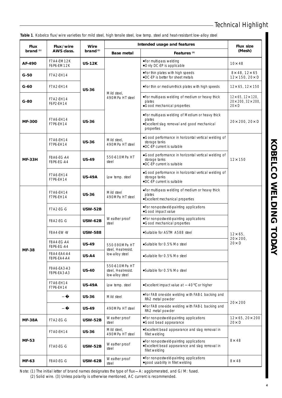**Table 1**. Kobelco flux/wire varieties for mild steel, high tensile steel, low temp. steel and heat-resistant low-alloy steel

| <b>Flux</b>   | Flux/wire                  | Wire                                     | Intended usage and features                             | <b>Flux size</b>                                                                                                      |                                                        |  |
|---------------|----------------------------|------------------------------------------|---------------------------------------------------------|-----------------------------------------------------------------------------------------------------------------------|--------------------------------------------------------|--|
| brand $(1)$   | AWS class.                 | brand $(2)$                              | <b>Base metal</b>                                       | Features <sup>(3)</sup>                                                                                               | (Mesh)                                                 |  |
| AF-490        | F7A4-EM12K<br>F6P6-EM12K   | <b>US-12K</b>                            |                                                         | For multi-pass welding<br>Only DC-EP is applicable                                                                    | $10 \times 48$                                         |  |
| $G-50$        | F7A2-EH14                  |                                          |                                                         | For thin plates with high speeds<br>DC-EP is better for sheet metals                                                  | 8x 48, 12x 65<br>12x 150, 20x D                        |  |
| $G-60$        | F7A2-EH14                  | <b>US-36</b>                             |                                                         | For thin or medium-thick plates with high speeds                                                                      | 12x 65, 12x 150                                        |  |
| $G-80$        | F7A2-EH14<br>F6P2-EH14     |                                          | Mild steel,<br>490MPa HT steel                          | For multi-pass welding of medium or heavy thick<br>plates<br>Good mechanical properties                               | 12x 65, 12x 120,<br>20x 200, 32x 200,<br>$20 \times D$ |  |
| <b>MF-300</b> | F7A6-EH14<br>F7P6-EH14     | <b>US-36</b>                             |                                                         | For multi-pass welding of Medium or heavy thick<br>plates<br>Excellent slag removal and good mechanical<br>properties | 20× 200, 20× D                                         |  |
|               | F7A6-EH14<br>F7P6-EH14     | <b>US-36</b>                             | Mild steel,<br>490MPa HT steel                          | Good performance in horizontal vertical welding of<br>storage tanks<br>DC-EP current is suitable                      |                                                        |  |
| <b>MF-33H</b> | F8A6-EG-A4<br>F8P6-EG-A4   | <b>US-49</b>                             | 550-610MPa HT<br>steel                                  | Good performance in horizontal vertical welding of<br>storage tanks<br>DC-EP current is suitable                      | $12 \times 150$                                        |  |
|               | F7A6-EH14<br>F7P6-EH14     | <b>US-49A</b>                            | Low temp. steel                                         | Good performance in horizontal vertical welding of<br>storage tanks<br>DC-EP current is suitable                      |                                                        |  |
|               | F7A6-EH14<br>F7P6-EH14     | <b>US-36</b>                             | Mild steel<br>490MPa HT steel                           | For multi-pass welding of medium or heavy thick<br>plates<br>Excellent mechanical properties                          |                                                        |  |
|               | F7A2-EG-G                  | <b>USW-52B</b>                           |                                                         | For non-postweld-painting applications<br>Good impact value                                                           |                                                        |  |
|               | F8A2-EG-G                  | <b>USW-62B</b>                           | Weather proof<br>steel                                  | For non-postweld-painting applications<br>Good mechanical properties                                                  |                                                        |  |
|               | F8A4-EW-W                  | <b>USW-588</b>                           |                                                         | Suitable for ASTM A588 steel                                                                                          | $12 \times 65$                                         |  |
| <b>MF-38</b>  | F8A4-EG-A4<br>F8P6-EG-A4   | <b>US-49</b>                             | 550-590MPa HT<br>steel, Heat-resist.                    | Suitable for 0.5% Mo steel                                                                                            | $20 \times 200$ ,<br>$20 \times D$                     |  |
|               | F8A4-EA4-A4<br>F8P6-EA4-A4 | <b>US-A4</b>                             | low-alloy steel                                         | Suitable for 0.5% Mo steel                                                                                            |                                                        |  |
|               | F9A6-EA3-A3<br>F8P6-EA3-A3 | <b>US-40</b>                             | 550-610MPa HT<br>steel, Heat-resist.<br>low-alloy steel | Suitable for 0.5% Mo steel                                                                                            |                                                        |  |
|               | F7A6-EH14<br>F7P6-EH14     | <b>US-49A</b>                            | Low temp. steel                                         | Excellent impact value at<br>40<br>or higher                                                                          |                                                        |  |
|               |                            | <b>US-36</b>                             | Mild steel                                              | For FAB one-side welding with FAB-1 backing and<br>RR-2 metal powder                                                  |                                                        |  |
|               |                            | <b>US-49</b>                             | 490MPa HT steel                                         | For FAB one-side welding with FAB-1 backing and<br>RR-2 metal powder                                                  | $20 \times 200$                                        |  |
| <b>MF-38A</b> | F7A2-EG-G                  | <b>USW-52B</b>                           | Weather proof<br>steel                                  | For non-postweld-painting applications<br>Good bead appearance                                                        | 12x 65, 20x 200<br>$20 \times D$                       |  |
|               | F7AO-EH14                  | <b>US-36</b>                             | Mild steel,<br>490MPa HT steel                          | Excellent bead appearance and slag removal in<br>fillet welding                                                       |                                                        |  |
| <b>MF-53</b>  | F7A0-EG-G                  | Weather proof<br><b>USW-52B</b><br>steel |                                                         | For non-postweld-painting applications<br>Excellent bead appearance and slag removal in<br>fillet welding             | $8 \times 48$                                          |  |
| <b>MF-63</b>  | F8A0-EG-G                  | <b>USW-62B</b>                           | Weather proof<br>steel                                  | For non-postweld-painting applications<br>good usability in fillet welding                                            | $8 \times 48$                                          |  |

Note: (1) The initial letter of brand names designates the type of flux A: agglomerated, and G/M: fused. (2) Solid wire. (3) Unless polarity is otherwise mentioned, AC current is recommended.

# KOBELCO WELDING TODAY **KOBELCO WELDING TODAY**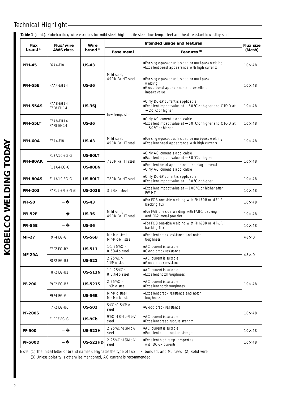| Table 1 (cont.). Kobelco flux/wire varieties for mild steel, high tensile steel, low temp. steel and heat-resistant low-alloy steel |  |  |
|-------------------------------------------------------------------------------------------------------------------------------------|--|--|
|                                                                                                                                     |  |  |
|                                                                                                                                     |  |  |
|                                                                                                                                     |  |  |

| <b>Flux</b>          | Flux/wire                                                             | <b>Wire</b>     | Intended usage and features    |                                                                                                             |                |  |  |  |
|----------------------|-----------------------------------------------------------------------|-----------------|--------------------------------|-------------------------------------------------------------------------------------------------------------|----------------|--|--|--|
| brand <sup>(1)</sup> | AWS class.                                                            | brand $(2)$     | <b>Base metal</b>              | Features <sup>(3)</sup>                                                                                     |                |  |  |  |
| <b>PFH-45</b>        | F6A4-EL8                                                              | <b>US-43</b>    |                                | For single-pass-double-sided or multi-pass welding<br>Excellent bead appearance with high currents          | $10 \times 48$ |  |  |  |
| <b>PFH-55E</b>       | F7A4-EH14                                                             | <b>US-36</b>    | Mild steel,<br>490MPa HT steel | For single-pass-double-sided or multi-pass<br>welding<br>Good bead appearance and excellent<br>impact value | $10 \times 48$ |  |  |  |
| PFH-55AS             | F7A8-EH14<br>F7P8-EH14                                                | <b>US-36J</b>   |                                | Only DC-EP current is applicable<br>Excellent impact value at 60 or higher and CTOD at<br>20 or higher      | $10 \times 48$ |  |  |  |
| PFH-55LT             | F7A8-EH14<br>F7P8-EH14                                                | <b>US-36</b>    | Low temp. steel                | Only AC current is applicable<br>Excellent impact value at 60<br>or higher and CTOD at<br>50 or higher      | $10 \times 48$ |  |  |  |
| <b>PFH-60A</b>       | F7A4-EL8                                                              | <b>US-43</b>    | Mild steel,<br>490MPa HT steel | For single-pass-double-sided or multi-pass welding<br>Excellent bead appearance with high currents          | $10 \times 48$ |  |  |  |
|                      | F12A10-EG-G                                                           | US-80LT         |                                | Only AC current is applicable<br>Excellent impact value at 80<br>or higher                                  |                |  |  |  |
| PFH-80AK             | F11A4-EG-G                                                            | <b>US-80BN</b>  | 780MPa HT steel                | Excellent bead appearance and slag removal<br>Only AC current is applicable                                 | $10 \times 48$ |  |  |  |
| PFH-80AS             | <b>F11A10-EG-G</b>                                                    | US-80LT         | 780MPa HT steel                | Only DC-EP current is applicable<br>Excellent impact value at 80 or higher                                  | $10 \times 48$ |  |  |  |
| <b>PFH-203</b>       | F7P15-ENI3-NI3                                                        | <b>US-203E</b>  | 3.5%Ni steel                   | Excellent impact value at 100<br>or higher after<br><b>PWHT</b>                                             | $10 \times 48$ |  |  |  |
| <b>PFI-50</b>        |                                                                       | <b>US-43</b>    |                                | For FCB one-side welding with PHI-50R or MF-1R<br>backing flux                                              | $10 \times 48$ |  |  |  |
| <b>PFI-52E</b>       |                                                                       | <b>US-36</b>    | Mild steel,<br>490MPa HT steel | For FAB one-side welding with FAB-1 backing<br>and RR-2 metal powder                                        | $10 \times 48$ |  |  |  |
| <b>PFI-55E</b>       |                                                                       | <b>US-36</b>    |                                | For FCB one-side welding with PHI-50R or MF-1R<br>backing flux                                              | $10 \times 48$ |  |  |  |
| <b>MF-27</b>         | F9P4-EG-G                                                             | <b>US-56B</b>   | Mn-Mo steel,<br>Mn-Mo-Ni steel | Excellent crack resistance and notch<br>toughness                                                           | $48 \times D$  |  |  |  |
|                      | F7PZ-EG-B2                                                            | <b>US-511</b>   | 1-1.25%Cr-<br>0.5%Mo steel     | AC current is suitable<br>Good crack resistance                                                             |                |  |  |  |
| <b>MF-29A</b>        | F8P2-EG-B3                                                            | <b>US-521</b>   | 2.25%Cr-<br>1%Mo steel         | AC current is suitable<br>Good crack resistance                                                             | $48 \times D$  |  |  |  |
|                      | F8P2-EG-B2                                                            | <b>US-511N</b>  | 1-1.25%Cr-<br>0.5%Mo steel     | AC current is suitable<br>Excellent notch toughness                                                         |                |  |  |  |
| <b>PF-200</b>        | F9P2-EG-B3                                                            | <b>US-521S</b>  | 2.25%Cr-<br>1%Mo steel         | AC current is suitable<br>Excellent notch toughness                                                         | $10 \times 48$ |  |  |  |
|                      | F9P4-EG-G<br><b>US-56B</b>                                            |                 | Mn-Mo steel,<br>Mn-Mo-Ni steel | Excellent crack resistance and notch<br>toughness                                                           |                |  |  |  |
|                      | F7P2-EG-B6<br><b>US-502</b><br><b>PF-200S</b><br>F10PZ-EG-G<br>US-9Cb |                 | 5%Cr-0.5%Mo<br>steel           | Good crack resistance                                                                                       |                |  |  |  |
|                      |                                                                       |                 | 9%Cr-1%Mo-Nb-V<br>steel        | AC current is suitable<br>Excellent creep rupture strength                                                  | $10 \times 48$ |  |  |  |
| <b>PF-500</b>        |                                                                       | <b>US-521H</b>  | 2.25%Cr-1%Mo-V<br>steel        | AC current is suitable<br>Excellent creep rupture strength                                                  | $10 \times 48$ |  |  |  |
| <b>PF-500D</b>       |                                                                       | <b>US-521HD</b> | 2.25%Cr-1%Mo-V<br>steel        | Excellent high temp. properties<br>with DC-EP currents                                                      | $10 \times 48$ |  |  |  |

Note: (1) The initial letter of brand names designates the type of flux P: bonded, and M: fused. (2) Solid wire

(3) Unless polarity is otherwise mentioned, AC current is recommended.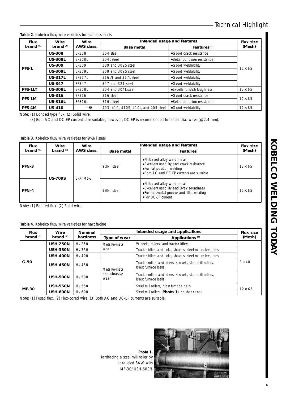**Table 2**. Kobelco flux/wire varieties for stainless steels

| <b>Flux</b>  | Wire                            | Wire          | Intended usage and features         | <b>Flux size</b>            |                |
|--------------|---------------------------------|---------------|-------------------------------------|-----------------------------|----------------|
| brand $(1)$  | brand <sup>(2)</sup>            | AWS class.    | <b>Base metal</b>                   | Features <sup>(3)</sup>     | (Mesh)         |
|              | <b>US-308</b>                   | <b>ER308</b>  | 304 steel                           | Good crack resistance       |                |
|              | <b>US-308L</b>                  | <b>ER308L</b> | 304L steel                          | Better corrosion resistance |                |
| <b>PFS-1</b> | <b>US-309</b>                   | <b>ER309</b>  | 309 and 309S steel                  | Good weldability            |                |
|              | <b>US-309L</b><br><b>ER309L</b> |               | 309 and 309S steel                  | Good weldability            | $12 \times 65$ |
|              | <b>US-317L</b>                  | FR3171        | 316LN and 317L steel                | Good weldability            |                |
|              | <b>US-347</b>                   | FR347         | 347 and 321 steel                   | Good weldability            |                |
| PFS-1LT      | <b>US-308L</b>                  | <b>ER308L</b> | 304 and 304L steel                  | Excellent notch toughness   | $12 \times 65$ |
|              | <b>US-316</b>                   | FR316         | 316 steel                           | Good crack resistance       |                |
| PFS-1M       | <b>US-316L</b>                  | <b>ER316L</b> | 316L steel                          | Better corrosion resistance | $12 \times 65$ |
| PFS-4M       | <b>US-410</b>                   |               | 403, 410, 410S, 410L, and 405 steel | Good weldability            | $12 \times 65$ |

Note: (1) Bonded type flux. (2) Solid wire.

(3) Both AC and DC-EP currents are suitable; however, DC-EP is recommended for small dia. wires ( 2.4 mm).

**Table 3**. Kobelco flux/wire varieties for 9%Ni steel

| <b>Flux</b> | Wire           | Wire                  | Intended usage and features | <b>Flux size</b>                                                                                                                              |               |
|-------------|----------------|-----------------------|-----------------------------|-----------------------------------------------------------------------------------------------------------------------------------------------|---------------|
| brand $(1)$ | brand $(2)$    | AWS class.            | <b>Base metal</b>           | <b>Features</b>                                                                                                                               | (Mesh)        |
| PFN-3       |                |                       | 9%Ni steel                  | Ni-based alloy weld metal<br>Excellent usability and crack resistance<br>For flat position welding<br>Both AC and DC-EP currents are suitable | $12\times 65$ |
| PFN-4       | <b>US-709S</b> | FRNIM <sub>0</sub> -8 | 9%Ni steel                  | Ni-based alloy weld metal<br>Excellent usability and X-ray soundness<br>For horizontal groove and fillet welding<br>For DC-FP current         | $12\times 65$ |

Note: (1) Bonded flux. (2) Solid wire.

### **Table 4**. Kobelco flux/wire varieties for hardfacing

| Wire<br><b>Flux</b><br>brand $(2)$<br>brand $(1)$ |                 | <b>Nominal</b> | Intended usage and applications |                                                                                 |                |  |  |
|---------------------------------------------------|-----------------|----------------|---------------------------------|---------------------------------------------------------------------------------|----------------|--|--|
|                                                   |                 | hardness       | Type of wear                    | Applications <sup>(3)</sup>                                                     | (Mesh)         |  |  |
|                                                   | <b>USH-250N</b> | Hy 250         | Metal-to-metal                  | Wheels, rollers, and tractor idlers                                             |                |  |  |
|                                                   | <b>USH-350N</b> | Hy 350         | wear                            | Tractor idlers and links, shovels, steel mill rollers, tires                    |                |  |  |
|                                                   | <b>USH-400N</b> | Hv 400         |                                 | Tractor idlers and links, shovels, steel mill rollers, tires                    |                |  |  |
| $G-50$                                            | <b>USH-450N</b> | Hy 450         | Metal-to-metal                  | Tractor rollers and idlers, shovels, steel mill rollers.<br>blast furnace bells | $8 \times 48$  |  |  |
|                                                   | <b>USH-500N</b> | Hy 500         | and abrasive<br>wear            | Tractor rollers and idlers, shovels, steel mill rollers.<br>blast furnace bells |                |  |  |
|                                                   | <b>USH-550N</b> | Hy 550         |                                 | Steel mill rollers, blast furnace bells                                         |                |  |  |
| <b>MF-30</b>                                      | <b>USH-600N</b> | Hy 600         |                                 | Steel mill rollers (Photo 1), crusher cones                                     | $12 \times 65$ |  |  |

Note: (1) Fused flux. (2) Flux-cored wire. (3) Both AC and DC-EP currents are suitable.

**Photo 1.**  Hardfacing a steel mill roller by paralleled SAW with MF-30/USH-600N

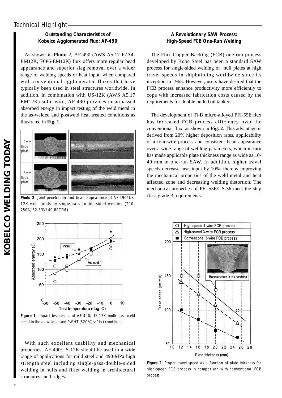# **Outstanding Characteristics of Kobelco Agglomerated Flux: AF-490**

As shown in **Photo 2**, AF-490 (AWS A5.17 F7A4- EM12K, F6P6-EM12K) flux offers more regular bead appearance and superior slag removal over a wider range of welding speeds or heat input, when compared with conventional agglomerated fluxes that have typically been used in steel structures worldwide. In addition, in combination with US-12K (AWS A5.17 EM12K) solid wire, AF-490 provides unsurpassed absorbed energy in impact testing of the weld metal in the as-welded and postweld heat treated conditions as illustrated in **Fig. 1**.



**Photo 2**. Joint penetration and bead appearance of AF-490/US-12K weld joints by single-pass-double-sided welding (700- 750A/32-33V/40-80CPM)



**Figure 1**. Impact test results of AF-490/US-12K multi-pass weld metal in the as-welded and PWHT (620  $\times$  1hr) conditions

With such excellent usability and mechanical properties, AF-490/US-12K should be used in a wide range of applications for mild steel and 490-MPa high strength steel including single-pass-double-sided welding in hulls and fillet welding in architectural structures and bridges.

# **A Revolutionary SAW Process: High-Speed FCB One-Run Welding**

The Flux Copper Backing (FCB) one-run process developed by Kobe Steel has been a standard SAW process for single-sided welding of hull plates at high travel speeds in shipbuilding worldwide since its inception in 1965. However, users have desired that the FCB process enhance productivity more efficiently to cope with increased fabrication costs caused by the requirements for double hulled oil tankers.

The development of Ti-B micro-alloyed PFI-55E flux has increased FCB process efficiency over the conventional flux, as shown in **Fig. 2**. This advantage is derived from 20% higher deposition rates, applicability of a four-wire process and consistent bead appearance over a wide range of welding parameters, which in turn has made applicable plate thickness range as wide as 10- 40 mm in one-run SAW. In addition, higher travel speeds decrease heat input by 10%, thereby improving the mechanical properties of the weld metal and heat affected zone and decreasing welding distortion. The mechanical properties of PFI-55E/US-36 meet the ship class grade-3 requirements.



**Figure 2**. Proper travel speed as a function of plate thickness for high-speed FCB process in comparison with conventional FCB process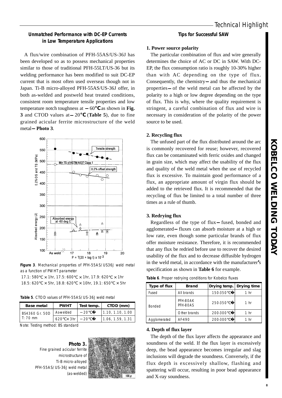# **Unmatched Performance with DC-EP Currents in Low Temperature Applications**

A flux/wire combination of PFH-55AS/US-36J has been developed so as to possess mechanical properties similar to those of traditional PFH-55LT/US-36 but its welding performance has been modified to suit DC-EP current that is most often used overseas though not in Japan. Ti-B micro-alloyed PFH-55AS/US-36J offer, in both as-welded and postweld heat treated conditions, consistent room temperature tensile properties and low temperature notch toughness at 60 as shown in **Fig. 3** and CTOD values at 20 (**Table 5**), due to fine grained acicular ferrite microstructure of the weld metal **Photo 3**.



**Figure 3**. Mechanical properties of PFH-55AS/US36J weld metal as a function of PWHT parameter

|  | 17.1: 580 $\times$ 1hr, 17.5: 600 $\times$ 1hr, 17.9: 620 $\times$ 1hr  |  |
|--|-------------------------------------------------------------------------|--|
|  | 18.5: 620 $\times$ 5hr, 18.8: 620 $\times$ 10hr, 19.1: 650 $\times$ 5hr |  |

|  |  | Table 5. CTOD values of PFH-55AS/US-36J weld metal |  |
|--|--|----------------------------------------------------|--|
|  |  |                                                    |  |

| <b>Base metal</b> | <b>PWHT</b>      | Test temp. | CTOD (mm)        |  |
|-------------------|------------------|------------|------------------|--|
| BS4360 Gr. 50D    | As-welded        | 20.        | 1.10. 1.10. 1.00 |  |
| $T: 70$ mm        | $620 \times 3hr$ | 20         | 1.06.1.59.1.31   |  |

Note: Testing method: BS standard

**Photo 3.**  Fine grained acicular ferrite microstructure of Ti-B micro-alloyed PFH-55AS/US-36J weld metal (as-welded)



### **Tips for Successful SAW**

### **1. Power source polarity**

The particular combination of flux and wire generally determines the choice of AC or DC in SAW. With DC-EP, the flux consumption ratio is roughly 10-30% higher than with AC depending on the type of flux. Consequently, the chemistry and thus the mechanical properties of the weld metal can be affected by the polarity to a high or low degree depending on the type of flux. This is why, where the quality requirement is stringent, a careful combination of flux and wire is necessary in consideration of the polarity of the power source to be used.

### **2. Recycling flux**

The unfused part of the flux distributed around the arc is commonly recovered for reuse; however, recovered flux can be contaminated with ferric oxides and changed in grain size, which may affect the usability of the flux and quality of the weld metal when the use of recycled flux is excessive. To maintain good performance of a flux, an appropriate amount of virgin flux should be added to the retrieved flux. It is recommended that the recycling of flux be limited to a total number of three times as a rule of thumb.

### **3. Redrying flux**

Regardless of the type of flux fused, bonded and agglomerated fluxes can absorb moisture at a high or low rate, even though some particular brands of flux offer moisture resistance. Therefore, it is recommended that any flux be redried before use to recover the desired usability of the flux and to decrease diffusible hydrogen in the weld metal, in accordance with the manufacturer**'**s specification as shown in **Table 6** for example.

| Type of flux  | <b>Brand</b>         | Drying temp. | Drying time     |
|---------------|----------------------|--------------|-----------------|
| Fused         | All brands           | 150-350      | 1 hr            |
| <b>Bonded</b> | PFH-80AK<br>PFH-80AS | 250-350      | 1 <sub>hr</sub> |
|               | Other brands         | 200-300      | 1 hr            |
| Agglomerated  | $AF-490$             | 200-300      | 1 hr            |

**Table 6**. Proper redrying conditions for Kobelco fluxes

### **4. Depth of flux layer**

The depth of the flux layer affects the appearance and soundness of the weld. If the flux layer is excessively deep, the bead appearance becomes irregular and slag inclusions will degrade the soundness. Conversely, if the flux depth is excessively shallow, flashing and spattering will occur, resulting in poor bead appearance and X-ray soundness.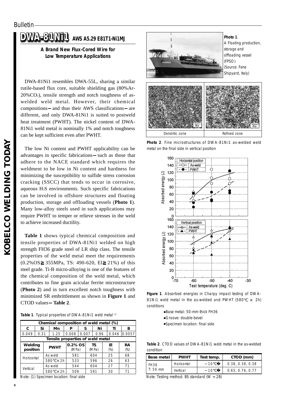# **DWA-81Ni1 A-81Ni1 AWS A5.29 E81T1-Ni1MJ**

## **A Brand New Flux-Cored Wire for Low Temperature Applications**

DWA-81Ni1 resembles DWA-55L, sharing a similar rutile-based flux core, suitable shielding gas (80%Ar- $20\%$ CO<sub>2</sub>), tensile strength and notch toughness of aswelded weld metal. However, their chemical compositions and thus their AWS classifications are different, and only DWA-81Ni1 is suited to postweld heat treatment (PWHT). The nickel content of DWA-81Ni1 weld metal is nominally 1% and notch toughness can be kept sufficient even after PWHT.

The low Ni content and PWHT applicability can be advantages in specific fabrications such as those that adhere to the NACE standard which requires the weldment to be low in Ni content and hardness for minimizing the susceptibility to sulfide stress corrosion cracking (SSCC) that tends to occur in corrosive, aqueous H2S environments. Such specific fabrications can be involved in offshore structures and floating production, storage and offloading vessels (**Photo 1**). Many low-alloy steels used in such applications may require PWHT to temper or relieve stresses in the weld to achieve increased ductility.

**Table 1** shows typical chemical composition and tensile properties of DWA-81Ni1 welded on high strength FH36 grade steel of LR ship class. The tensile properties of the weld metal meet the requirements (0.2%OS 355MPa, TS: 490-620, El 21%) of this steel grade. Ti-B micro-alloying is one of the features of the chemical composition of the weld metal, which contributes to fine grain acicular ferrite microstructure (**Photo 2**) and in turn excellent notch toughness with minimized SR embrittlement as shown in **Figure 1** and CTOD values **Table 2**.

|  | Table 1. Typical properties of DWA-81Ni1 weld metal (1) |  |  |
|--|---------------------------------------------------------|--|--|
|--|---------------------------------------------------------|--|--|

|            | Chemical composition of weld metal (%) |             |             |                                  |       |  |       |  |        |        |
|------------|----------------------------------------|-------------|-------------|----------------------------------|-------|--|-------|--|--------|--------|
| C          | Si                                     |             | Mn          | Р                                | S     |  | Ni    |  | Ti     | в      |
| 0.049      | 0.31                                   |             | 1.25        | 0.008                            | 0.007 |  | 0.96  |  | 0.046  | 0.0057 |
|            |                                        |             |             | Tensile properties of weld metal |       |  |       |  |        |        |
| Welding    |                                        | <b>PWHT</b> |             | 0.2% OS                          |       |  | ΤS    |  | ΕI     | RA     |
| position   |                                        |             |             | (MPa)                            |       |  | (MPa) |  | $(\%)$ | $(\%)$ |
| Horizontal |                                        | As weld     |             | 581                              |       |  | 604   |  | 25     | 68     |
|            |                                        | 580         | $\times$ 2h | 533                              |       |  | 596   |  | 26     | 63     |
|            |                                        | As weld     |             | 544                              |       |  | 604   |  | 27     | 71     |
| Vertical   |                                        | 580         | x 2h        | 509                              |       |  | 591   |  | 30     | 71     |

Note: (1) Specimen location: final side



**Photo 2**. Fine microstructures of DWA-81Ni1 as-welded weld metal on the final side in vertical position



**Figure 1**. Absorbed energies in Charpy impact testing of DWA-81Ni1 weld metal in the as-welded and PWHT (580  $\times$  2h) conditions

Base metal: 50-mm thick FH36 Groove: double-bevel Specimen location: final side

**Table 2**. CTOD values of DWA-81Ni1 weld metal in the as-welded condition

| <b>Base metal</b>                 | <b>PWHT</b> | Test temp. | CTOD (mm)        |
|-----------------------------------|-------------|------------|------------------|
| <b>FH36</b><br>$T: 50 \text{ mm}$ | Horizontal  | 10.        | 0.38.0.38.0.38   |
|                                   | Vertical    | $10^{-}$   | 0.65, 0.76, 0.77 |

Note: Testing method: BS standard (W = 2B)